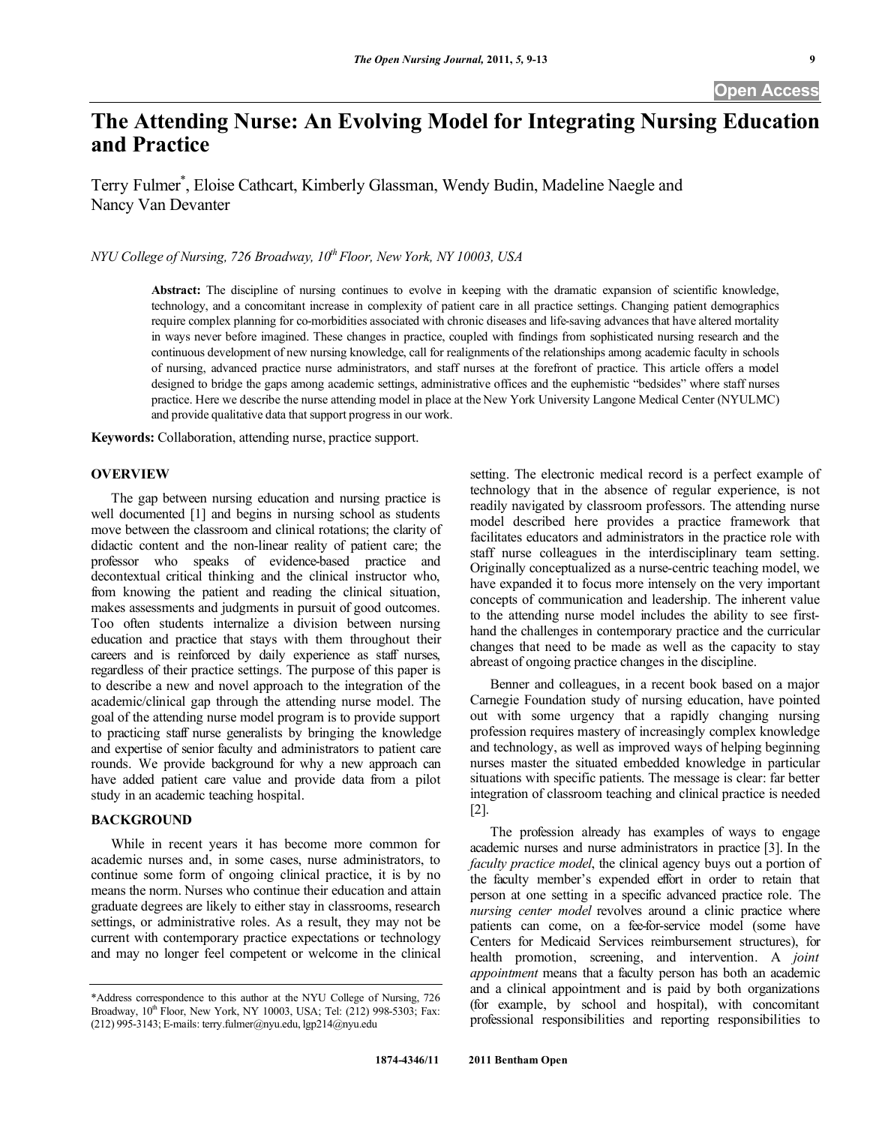# **The Attending Nurse: An Evolving Model for Integrating Nursing Education and Practice**

Terry Fulmer\* , Eloise Cathcart, Kimberly Glassman, Wendy Budin, Madeline Naegle and Nancy Van Devanter

*NYU College of Nursing, 726 Broadway, 10<sup>th</sup> Floor, New York, NY 10003, USA* 

**Abstract:** The discipline of nursing continues to evolve in keeping with the dramatic expansion of scientific knowledge, technology, and a concomitant increase in complexity of patient care in all practice settings. Changing patient demographics require complex planning for co-morbidities associated with chronic diseases and life-saving advances that have altered mortality in ways never before imagined. These changes in practice, coupled with findings from sophisticated nursing research and the continuous development of new nursing knowledge, call for realignments of the relationships among academic faculty in schools of nursing, advanced practice nurse administrators, and staff nurses at the forefront of practice. This article offers a model designed to bridge the gaps among academic settings, administrative offices and the euphemistic "bedsides" where staff nurses practice. Here we describe the nurse attending model in place at the New York University Langone Medical Center (NYULMC) and provide qualitative data that support progress in our work.

**Keywords:** Collaboration, attending nurse, practice support.

# **OVERVIEW**

 The gap between nursing education and nursing practice is well documented [1] and begins in nursing school as students move between the classroom and clinical rotations; the clarity of didactic content and the non-linear reality of patient care; the professor who speaks of evidence-based practice and decontextual critical thinking and the clinical instructor who, from knowing the patient and reading the clinical situation, makes assessments and judgments in pursuit of good outcomes. Too often students internalize a division between nursing education and practice that stays with them throughout their careers and is reinforced by daily experience as staff nurses, regardless of their practice settings. The purpose of this paper is to describe a new and novel approach to the integration of the academic/clinical gap through the attending nurse model. The goal of the attending nurse model program is to provide support to practicing staff nurse generalists by bringing the knowledge and expertise of senior faculty and administrators to patient care rounds. We provide background for why a new approach can have added patient care value and provide data from a pilot study in an academic teaching hospital.

# **BACKGROUND**

 While in recent years it has become more common for academic nurses and, in some cases, nurse administrators, to continue some form of ongoing clinical practice, it is by no means the norm. Nurses who continue their education and attain graduate degrees are likely to either stay in classrooms, research settings, or administrative roles. As a result, they may not be current with contemporary practice expectations or technology and may no longer feel competent or welcome in the clinical setting. The electronic medical record is a perfect example of technology that in the absence of regular experience, is not readily navigated by classroom professors. The attending nurse model described here provides a practice framework that facilitates educators and administrators in the practice role with staff nurse colleagues in the interdisciplinary team setting. Originally conceptualized as a nurse-centric teaching model, we have expanded it to focus more intensely on the very important concepts of communication and leadership. The inherent value to the attending nurse model includes the ability to see firsthand the challenges in contemporary practice and the curricular changes that need to be made as well as the capacity to stay abreast of ongoing practice changes in the discipline.

 Benner and colleagues, in a recent book based on a major Carnegie Foundation study of nursing education, have pointed out with some urgency that a rapidly changing nursing profession requires mastery of increasingly complex knowledge and technology, as well as improved ways of helping beginning nurses master the situated embedded knowledge in particular situations with specific patients. The message is clear: far better integration of classroom teaching and clinical practice is needed [2].

 The profession already has examples of ways to engage academic nurses and nurse administrators in practice [3]. In the *faculty practice model*, the clinical agency buys out a portion of the faculty member's expended effort in order to retain that person at one setting in a specific advanced practice role. The *nursing center model* revolves around a clinic practice where patients can come, on a fee-for-service model (some have Centers for Medicaid Services reimbursement structures), for health promotion, screening, and intervention. A *joint appointment* means that a faculty person has both an academic and a clinical appointment and is paid by both organizations (for example, by school and hospital), with concomitant professional responsibilities and reporting responsibilities to

<sup>\*</sup>Address correspondence to this author at the NYU College of Nursing, 726 Broadway, 10<sup>th</sup> Floor, New York, NY 10003, USA; Tel: (212) 998-5303; Fax: (212) 995-3143; E-mails: terry.fulmer@nyu.edu, lgp214@nyu.edu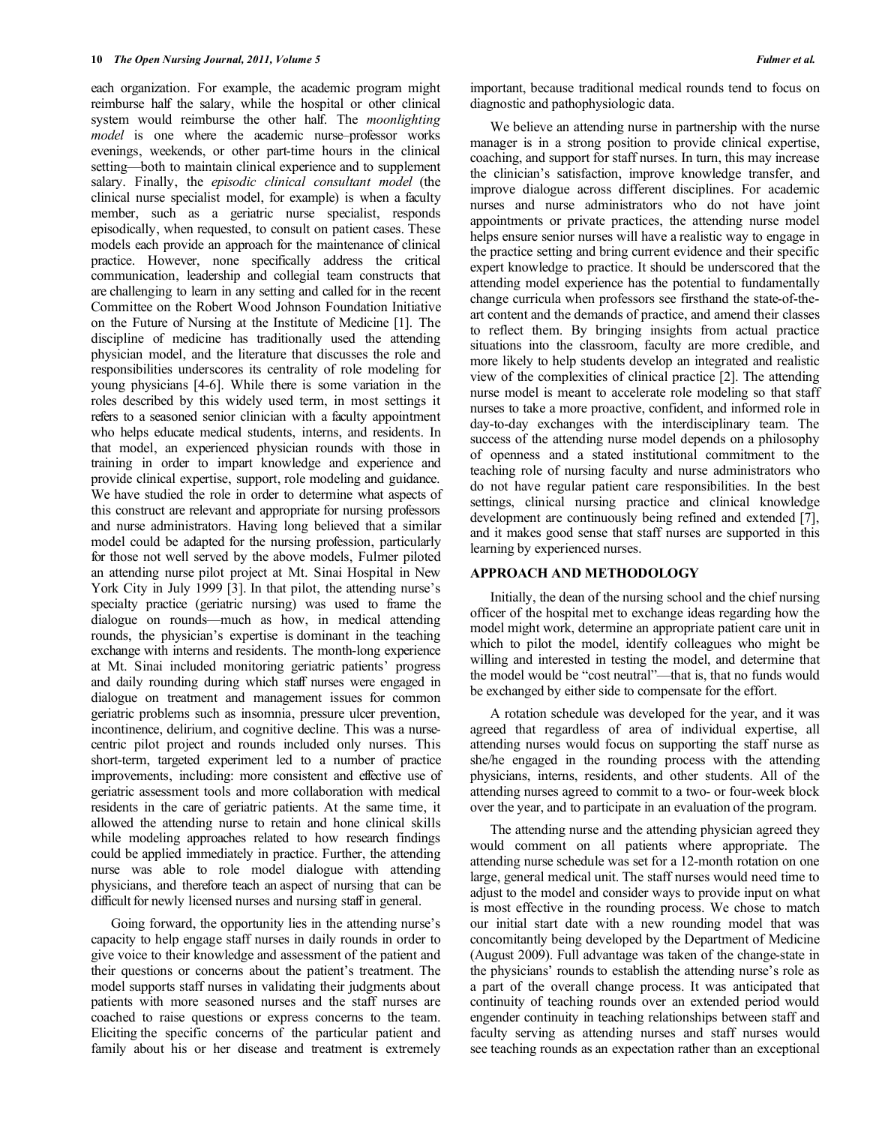each organization. For example, the academic program might reimburse half the salary, while the hospital or other clinical system would reimburse the other half. The *moonlighting model* is one where the academic nurse–professor works evenings, weekends, or other part-time hours in the clinical setting—both to maintain clinical experience and to supplement salary. Finally, the *episodic clinical consultant model* (the clinical nurse specialist model, for example) is when a faculty member, such as a geriatric nurse specialist, responds episodically, when requested, to consult on patient cases. These models each provide an approach for the maintenance of clinical practice. However, none specifically address the critical communication, leadership and collegial team constructs that are challenging to learn in any setting and called for in the recent Committee on the Robert Wood Johnson Foundation Initiative on the Future of Nursing at the Institute of Medicine [1]. The discipline of medicine has traditionally used the attending physician model, and the literature that discusses the role and responsibilities underscores its centrality of role modeling for young physicians [4-6]. While there is some variation in the roles described by this widely used term, in most settings it refers to a seasoned senior clinician with a faculty appointment who helps educate medical students, interns, and residents. In that model, an experienced physician rounds with those in training in order to impart knowledge and experience and provide clinical expertise, support, role modeling and guidance. We have studied the role in order to determine what aspects of this construct are relevant and appropriate for nursing professors and nurse administrators. Having long believed that a similar model could be adapted for the nursing profession, particularly for those not well served by the above models, Fulmer piloted an attending nurse pilot project at Mt. Sinai Hospital in New York City in July 1999 [3]. In that pilot, the attending nurse's specialty practice (geriatric nursing) was used to frame the dialogue on rounds—much as how, in medical attending rounds, the physician's expertise is dominant in the teaching exchange with interns and residents. The month-long experience at Mt. Sinai included monitoring geriatric patients' progress and daily rounding during which staff nurses were engaged in dialogue on treatment and management issues for common geriatric problems such as insomnia, pressure ulcer prevention, incontinence, delirium, and cognitive decline. This was a nursecentric pilot project and rounds included only nurses. This short-term, targeted experiment led to a number of practice improvements, including: more consistent and effective use of geriatric assessment tools and more collaboration with medical residents in the care of geriatric patients. At the same time, it allowed the attending nurse to retain and hone clinical skills while modeling approaches related to how research findings could be applied immediately in practice. Further, the attending nurse was able to role model dialogue with attending physicians, and therefore teach an aspect of nursing that can be difficult for newly licensed nurses and nursing staff in general.

 Going forward, the opportunity lies in the attending nurse's capacity to help engage staff nurses in daily rounds in order to give voice to their knowledge and assessment of the patient and their questions or concerns about the patient's treatment. The model supports staff nurses in validating their judgments about patients with more seasoned nurses and the staff nurses are coached to raise questions or express concerns to the team. Eliciting the specific concerns of the particular patient and family about his or her disease and treatment is extremely important, because traditional medical rounds tend to focus on diagnostic and pathophysiologic data.

 We believe an attending nurse in partnership with the nurse manager is in a strong position to provide clinical expertise, coaching, and support for staff nurses. In turn, this may increase the clinician's satisfaction, improve knowledge transfer, and improve dialogue across different disciplines. For academic nurses and nurse administrators who do not have joint appointments or private practices, the attending nurse model helps ensure senior nurses will have a realistic way to engage in the practice setting and bring current evidence and their specific expert knowledge to practice. It should be underscored that the attending model experience has the potential to fundamentally change curricula when professors see firsthand the state-of-theart content and the demands of practice, and amend their classes to reflect them. By bringing insights from actual practice situations into the classroom, faculty are more credible, and more likely to help students develop an integrated and realistic view of the complexities of clinical practice [2]. The attending nurse model is meant to accelerate role modeling so that staff nurses to take a more proactive, confident, and informed role in day-to-day exchanges with the interdisciplinary team. The success of the attending nurse model depends on a philosophy of openness and a stated institutional commitment to the teaching role of nursing faculty and nurse administrators who do not have regular patient care responsibilities. In the best settings, clinical nursing practice and clinical knowledge development are continuously being refined and extended [7], and it makes good sense that staff nurses are supported in this learning by experienced nurses.

#### **APPROACH AND METHODOLOGY**

 Initially, the dean of the nursing school and the chief nursing officer of the hospital met to exchange ideas regarding how the model might work, determine an appropriate patient care unit in which to pilot the model, identify colleagues who might be willing and interested in testing the model, and determine that the model would be "cost neutral"—that is, that no funds would be exchanged by either side to compensate for the effort.

 A rotation schedule was developed for the year, and it was agreed that regardless of area of individual expertise, all attending nurses would focus on supporting the staff nurse as she/he engaged in the rounding process with the attending physicians, interns, residents, and other students. All of the attending nurses agreed to commit to a two- or four-week block over the year, and to participate in an evaluation of the program.

 The attending nurse and the attending physician agreed they would comment on all patients where appropriate. The attending nurse schedule was set for a 12-month rotation on one large, general medical unit. The staff nurses would need time to adjust to the model and consider ways to provide input on what is most effective in the rounding process. We chose to match our initial start date with a new rounding model that was concomitantly being developed by the Department of Medicine (August 2009). Full advantage was taken of the change-state in the physicians' rounds to establish the attending nurse's role as a part of the overall change process. It was anticipated that continuity of teaching rounds over an extended period would engender continuity in teaching relationships between staff and faculty serving as attending nurses and staff nurses would see teaching rounds as an expectation rather than an exceptional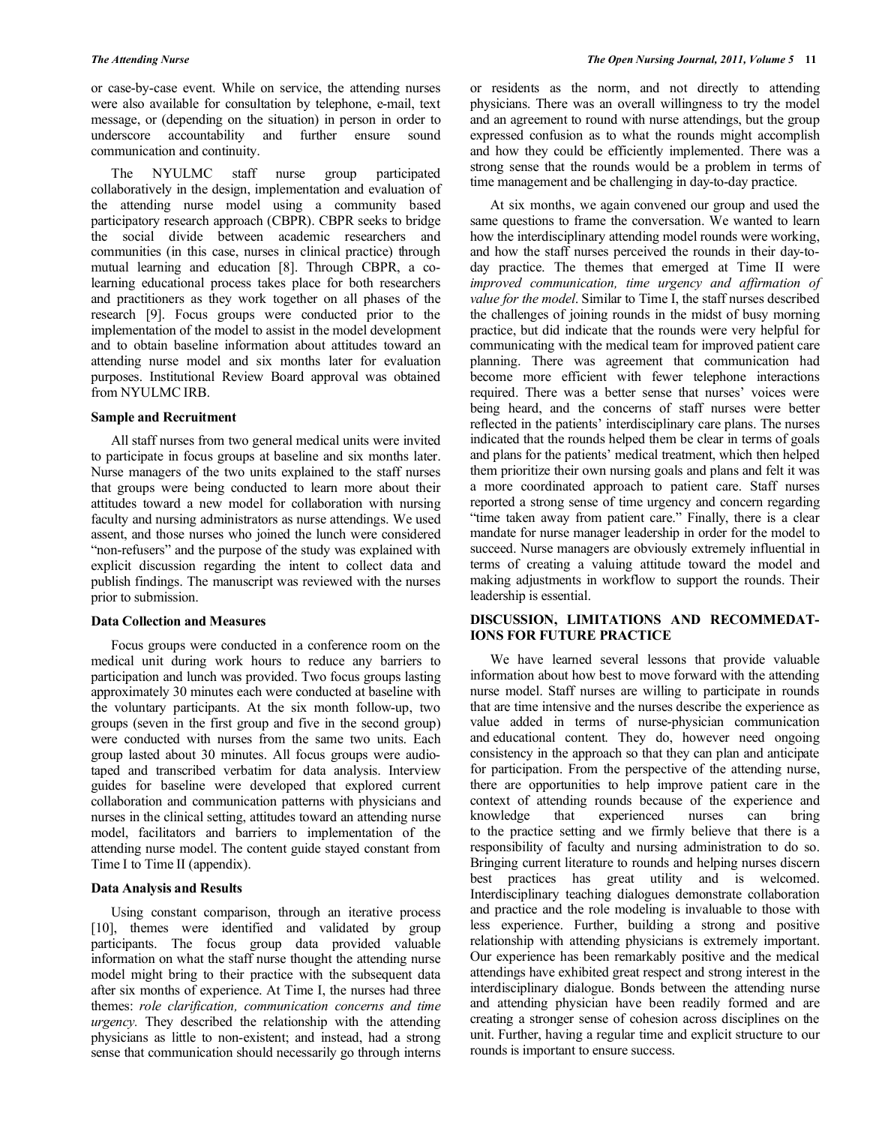or case-by-case event. While on service, the attending nurses were also available for consultation by telephone, e-mail, text message, or (depending on the situation) in person in order to underscore accountability and further ensure sound communication and continuity.

 The NYULMC staff nurse group participated collaboratively in the design, implementation and evaluation of the attending nurse model using a community based participatory research approach (CBPR). CBPR seeks to bridge the social divide between academic researchers and communities (in this case, nurses in clinical practice) through mutual learning and education [8]. Through CBPR, a colearning educational process takes place for both researchers and practitioners as they work together on all phases of the research [9]. Focus groups were conducted prior to the implementation of the model to assist in the model development and to obtain baseline information about attitudes toward an attending nurse model and six months later for evaluation purposes. Institutional Review Board approval was obtained from NYULMC IRB.

# **Sample and Recruitment**

 All staff nurses from two general medical units were invited to participate in focus groups at baseline and six months later. Nurse managers of the two units explained to the staff nurses that groups were being conducted to learn more about their attitudes toward a new model for collaboration with nursing faculty and nursing administrators as nurse attendings. We used assent, and those nurses who joined the lunch were considered "non-refusers" and the purpose of the study was explained with explicit discussion regarding the intent to collect data and publish findings. The manuscript was reviewed with the nurses prior to submission.

# **Data Collection and Measures**

 Focus groups were conducted in a conference room on the medical unit during work hours to reduce any barriers to participation and lunch was provided. Two focus groups lasting approximately 30 minutes each were conducted at baseline with the voluntary participants. At the six month follow-up, two groups (seven in the first group and five in the second group) were conducted with nurses from the same two units. Each group lasted about 30 minutes. All focus groups were audiotaped and transcribed verbatim for data analysis. Interview guides for baseline were developed that explored current collaboration and communication patterns with physicians and nurses in the clinical setting, attitudes toward an attending nurse model, facilitators and barriers to implementation of the attending nurse model. The content guide stayed constant from Time I to Time II (appendix).

# **Data Analysis and Results**

 Using constant comparison, through an iterative process [10], themes were identified and validated by group participants. The focus group data provided valuable information on what the staff nurse thought the attending nurse model might bring to their practice with the subsequent data after six months of experience. At Time I, the nurses had three themes: *role clarification, communication concerns and time urgency.* They described the relationship with the attending physicians as little to non-existent; and instead, had a strong sense that communication should necessarily go through interns or residents as the norm, and not directly to attending physicians. There was an overall willingness to try the model and an agreement to round with nurse attendings, but the group expressed confusion as to what the rounds might accomplish and how they could be efficiently implemented. There was a strong sense that the rounds would be a problem in terms of time management and be challenging in day-to-day practice.

 At six months, we again convened our group and used the same questions to frame the conversation. We wanted to learn how the interdisciplinary attending model rounds were working, and how the staff nurses perceived the rounds in their day-today practice. The themes that emerged at Time II were *improved communication, time urgency and affirmation of value for the model*. Similar to Time I, the staff nurses described the challenges of joining rounds in the midst of busy morning practice, but did indicate that the rounds were very helpful for communicating with the medical team for improved patient care planning. There was agreement that communication had become more efficient with fewer telephone interactions required. There was a better sense that nurses' voices were being heard, and the concerns of staff nurses were better reflected in the patients' interdisciplinary care plans. The nurses indicated that the rounds helped them be clear in terms of goals and plans for the patients' medical treatment, which then helped them prioritize their own nursing goals and plans and felt it was a more coordinated approach to patient care. Staff nurses reported a strong sense of time urgency and concern regarding "time taken away from patient care." Finally, there is a clear mandate for nurse manager leadership in order for the model to succeed. Nurse managers are obviously extremely influential in terms of creating a valuing attitude toward the model and making adjustments in workflow to support the rounds. Their leadership is essential.

# **DISCUSSION, LIMITATIONS AND RECOMMEDAT-IONS FOR FUTURE PRACTICE**

 We have learned several lessons that provide valuable information about how best to move forward with the attending nurse model. Staff nurses are willing to participate in rounds that are time intensive and the nurses describe the experience as value added in terms of nurse-physician communication and educational content. They do, however need ongoing consistency in the approach so that they can plan and anticipate for participation. From the perspective of the attending nurse, there are opportunities to help improve patient care in the context of attending rounds because of the experience and knowledge that experienced nurses can bring to the practice setting and we firmly believe that there is a responsibility of faculty and nursing administration to do so. Bringing current literature to rounds and helping nurses discern best practices has great utility and is welcomed. Interdisciplinary teaching dialogues demonstrate collaboration and practice and the role modeling is invaluable to those with less experience. Further, building a strong and positive relationship with attending physicians is extremely important. Our experience has been remarkably positive and the medical attendings have exhibited great respect and strong interest in the interdisciplinary dialogue. Bonds between the attending nurse and attending physician have been readily formed and are creating a stronger sense of cohesion across disciplines on the unit. Further, having a regular time and explicit structure to our rounds is important to ensure success.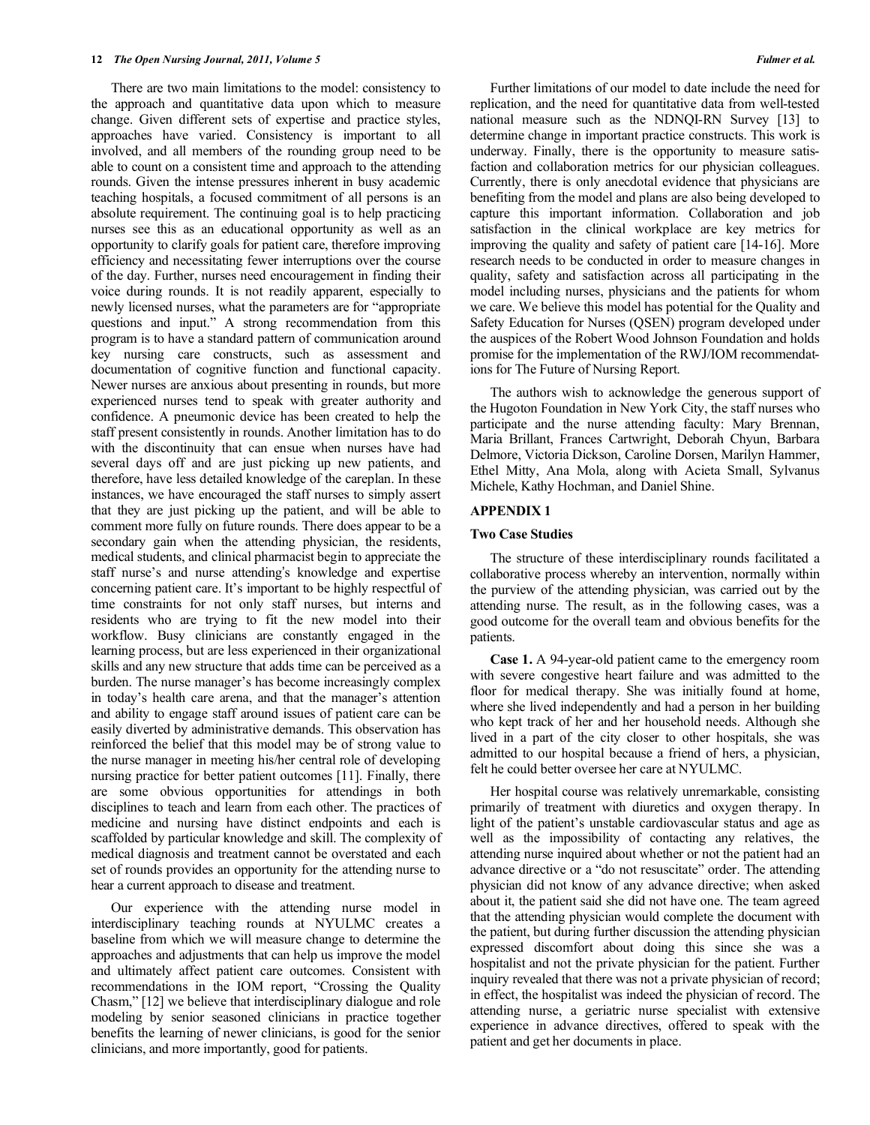There are two main limitations to the model: consistency to the approach and quantitative data upon which to measure change. Given different sets of expertise and practice styles, approaches have varied. Consistency is important to all involved, and all members of the rounding group need to be able to count on a consistent time and approach to the attending rounds. Given the intense pressures inherent in busy academic teaching hospitals, a focused commitment of all persons is an absolute requirement. The continuing goal is to help practicing nurses see this as an educational opportunity as well as an opportunity to clarify goals for patient care, therefore improving efficiency and necessitating fewer interruptions over the course of the day. Further, nurses need encouragement in finding their voice during rounds. It is not readily apparent, especially to newly licensed nurses, what the parameters are for "appropriate questions and input." A strong recommendation from this program is to have a standard pattern of communication around key nursing care constructs, such as assessment and documentation of cognitive function and functional capacity. Newer nurses are anxious about presenting in rounds, but more experienced nurses tend to speak with greater authority and confidence. A pneumonic device has been created to help the staff present consistently in rounds. Another limitation has to do with the discontinuity that can ensue when nurses have had several days off and are just picking up new patients, and therefore, have less detailed knowledge of the careplan. In these instances, we have encouraged the staff nurses to simply assert that they are just picking up the patient, and will be able to comment more fully on future rounds. There does appear to be a secondary gain when the attending physician, the residents, medical students, and clinical pharmacist begin to appreciate the staff nurse's and nurse attending's knowledge and expertise concerning patient care. It's important to be highly respectful of time constraints for not only staff nurses, but interns and residents who are trying to fit the new model into their workflow. Busy clinicians are constantly engaged in the learning process, but are less experienced in their organizational skills and any new structure that adds time can be perceived as a burden. The nurse manager's has become increasingly complex in today's health care arena, and that the manager's attention and ability to engage staff around issues of patient care can be easily diverted by administrative demands. This observation has reinforced the belief that this model may be of strong value to the nurse manager in meeting his/her central role of developing nursing practice for better patient outcomes [11]. Finally, there are some obvious opportunities for attendings in both disciplines to teach and learn from each other. The practices of medicine and nursing have distinct endpoints and each is scaffolded by particular knowledge and skill. The complexity of medical diagnosis and treatment cannot be overstated and each set of rounds provides an opportunity for the attending nurse to hear a current approach to disease and treatment.

 Our experience with the attending nurse model in interdisciplinary teaching rounds at NYULMC creates a baseline from which we will measure change to determine the approaches and adjustments that can help us improve the model and ultimately affect patient care outcomes. Consistent with recommendations in the IOM report, "Crossing the Quality Chasm," [12] we believe that interdisciplinary dialogue and role modeling by senior seasoned clinicians in practice together benefits the learning of newer clinicians, is good for the senior clinicians, and more importantly, good for patients.

 Further limitations of our model to date include the need for replication, and the need for quantitative data from well-tested national measure such as the NDNQI-RN Survey [13] to determine change in important practice constructs. This work is underway. Finally, there is the opportunity to measure satisfaction and collaboration metrics for our physician colleagues. Currently, there is only anecdotal evidence that physicians are benefiting from the model and plans are also being developed to capture this important information. Collaboration and job satisfaction in the clinical workplace are key metrics for improving the quality and safety of patient care [14-16]. More research needs to be conducted in order to measure changes in quality, safety and satisfaction across all participating in the model including nurses, physicians and the patients for whom we care. We believe this model has potential for the Quality and Safety Education for Nurses (QSEN) program developed under the auspices of the Robert Wood Johnson Foundation and holds promise for the implementation of the RWJ/IOM recommendations for The Future of Nursing Report.

 The authors wish to acknowledge the generous support of the Hugoton Foundation in New York City, the staff nurses who participate and the nurse attending faculty: Mary Brennan, Maria Brillant, Frances Cartwright, Deborah Chyun, Barbara Delmore, Victoria Dickson, Caroline Dorsen, Marilyn Hammer, Ethel Mitty, Ana Mola, along with Acieta Small, Sylvanus Michele, Kathy Hochman, and Daniel Shine.

#### **APPENDIX 1**

#### **Two Case Studies**

 The structure of these interdisciplinary rounds facilitated a collaborative process whereby an intervention, normally within the purview of the attending physician, was carried out by the attending nurse. The result, as in the following cases, was a good outcome for the overall team and obvious benefits for the patients.

 **Case 1.** A 94-year-old patient came to the emergency room with severe congestive heart failure and was admitted to the floor for medical therapy. She was initially found at home, where she lived independently and had a person in her building who kept track of her and her household needs. Although she lived in a part of the city closer to other hospitals, she was admitted to our hospital because a friend of hers, a physician, felt he could better oversee her care at NYULMC.

 Her hospital course was relatively unremarkable, consisting primarily of treatment with diuretics and oxygen therapy. In light of the patient's unstable cardiovascular status and age as well as the impossibility of contacting any relatives, the attending nurse inquired about whether or not the patient had an advance directive or a "do not resuscitate" order. The attending physician did not know of any advance directive; when asked about it, the patient said she did not have one. The team agreed that the attending physician would complete the document with the patient, but during further discussion the attending physician expressed discomfort about doing this since she was a hospitalist and not the private physician for the patient. Further inquiry revealed that there was not a private physician of record; in effect, the hospitalist was indeed the physician of record. The attending nurse, a geriatric nurse specialist with extensive experience in advance directives, offered to speak with the patient and get her documents in place.